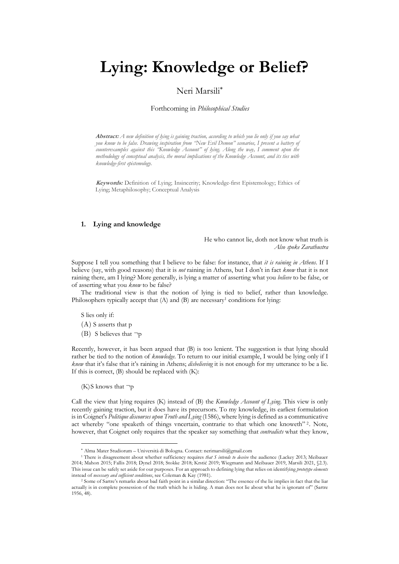# **Lying: Knowledge or Belief?**

# Neri Marsili\*

Forthcoming in *Philosophical Studies*

**Abstract:** *A new definition of lying is gaining traction, according to which you lie only if you say what you know to be false. Drawing inspiration from "New Evil Demon" scenarios, I present a battery of counterexamples against this "Knowledge Account" of lying. Along the way, I comment upon the methodology of conceptual analysis, the moral implications of the Knowledge Account, and its ties with knowledge-first epistemology.* 

**Keywords:** Definition of Lying; Insincerity; Knowledge-first Epistemology; Ethics of Lying; Metaphilosophy; Conceptual Analysis

# **1. Lying and knowledge**

He who cannot lie, doth not know what truth is *Also spoke Zarathustra*

Suppose I tell you something that I believe to be false: for instance, that *it is raining in Athens*. If I believe (say, with good reasons) that it is *not* raining in Athens, but I don't in fact *know* that it is not raining there, am I lying? More generally, is lying a matter of asserting what you *believe* to be false, or of asserting what you *know* to be false?

The traditional view is that the notion of lying is tied to belief, rather than knowledge. Philosophers typically accept that  $(A)$  and  $(B)$  are necessary<sup>1</sup> conditions for lying:

S lies only if:

(A) S asserts that p

(B) S believes that  $\neg p$ 

Recently, however, it has been argued that (B) is too lenient. The suggestion is that lying should rather be tied to the notion of *knowledge*. To return to our initial example, I would be lying only if I *knew* that it's false that it's raining in Athens; *disbelieving* it is not enough for my utterance to be a lie. If this is correct,  $(B)$  should be replaced with  $(K)$ :

 $(K)$ S knows that  $\neg p$ 

-

Call the view that lying requires (K) instead of (B) the *Knowledge Account of Lying*. This view is only recently gaining traction, but it does have its precursors. To my knowledge, its earliest formulation is in Coignet's *Politique discourses upon Truth and Lying* (1586), where lying is defined as a communicative act whereby "one speaketh of things vncertain, contrarie to that which one knoweth"<sup>2</sup>. Note, however, that Coignet only requires that the speaker say something that *contradicts* what they know,

<sup>\*</sup> Alma Mater Studiorum – Università di Bologna. Contact: nerimarsili@gmail.com

<sup>1</sup> There is disagreement about whether sufficiency requires *that S intends to deceive* the audience (Lackey 2013; Meibauer 2014; Mahon 2015; Fallis 2018; Dynel 2018; Stokke 2018; Krstić 2019; Wiegmann and Meibauer 2019, Marsili 2021, §2.3). This issue can be safely set aside for our purposes. For an approach to defining lying that relies on identifying *prototype elements*  instead of *necessary and sufficient conditions*, see Coleman & Kay (1981).

<sup>2</sup> Some of Sartre's remarks about bad faith point in a similar direction: "The essence of the lie implies in fact that the liar actually is in complete possession of the truth which he is hiding. A man does not lie about what he is ignorant of" (Sartre 1956, 48).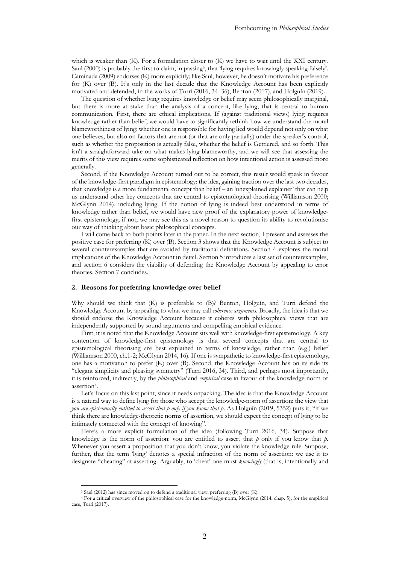which is weaker than (K). For a formulation closer to (K) we have to wait until the XXI century. Saul (2000) is probably the first to claim, in passing3, that 'lying requires knowingly speaking falsely'. Caminada (2009) endorses (K) more explicitly; like Saul, however, he doesn't motivate his preference for  $(K)$  over  $(B)$ . It's only in the last decade that the Knowledge Account has been explicitly motivated and defended, in the works of Turri (2016, 34–36), Benton (2017), and Holguín (2019).

The question of whether lying requires knowledge or belief may seem philosophically marginal, but there is more at stake than the analysis of a concept, like lying, that is central to human communication. First, there are ethical implications. If (against traditional views) lying requires knowledge rather than belief, we would have to significantly rethink how we understand the moral blameworthiness of lying: whether one is responsible for having lied would depend not only on what one believes, but also on factors that are not (or that are only partially) under the speaker's control, such as whether the proposition is actually false, whether the belief is Gettiered, and so forth. This isn't a straightforward take on what makes lying blameworthy, and we will see that assessing the merits of this view requires some sophisticated reflection on how intentional action is assessed more generally.

Second, if the Knowledge Account turned out to be correct, this result would speak in favour of the knowledge-first paradigm in epistemology: the idea, gaining traction over the last two decades, that knowledge is a more fundamental concept than belief – an 'unexplained explainer' that can help us understand other key concepts that are central to epistemological theorising (Williamson 2000; McGlynn 2014), including lying. If the notion of lying is indeed best understood in terms of knowledge rather than belief, we would have new proof of the explanatory power of knowledgefirst epistemology; if not, we may see this as a novel reason to question its ability to revolutionise our way of thinking about basic philosophical concepts.

I will come back to both points later in the paper. In the next section, I present and assesses the positive case for preferring (K) over (B). Section 3 shows that the Knowledge Account is subject to several counterexamples that are avoided by traditional definitions. Section 4 explores the moral implications of the Knowledge Account in detail. Section 5 introduces a last set of counterexamples, and section 6 considers the viability of defending the Knowledge Account by appealing to error theories. Section 7 concludes.

#### **2. Reasons for preferring knowledge over belief**

Why should we think that (K) is preferable to (B)? Benton, Holguín, and Turri defend the Knowledge Account by appealing to what we may call *coherence arguments*. Broadly, the idea is that we should endorse the Knowledge Account because it coheres with philosophical views that are independently supported by sound arguments and compelling empirical evidence.

First, it is noted that the Knowledge Account sits well with knowledge-first epistemology. A key contention of knowledge-first epistemology is that several concepts that are central to epistemological theorising are best explained in terms of knowledge, rather than (e.g.) belief (Williamson 2000, ch.1-2; McGlynn 2014, 16). If one is sympathetic to knowledge-first epistemology, one has a motivation to prefer (K) over (B). Second, the Knowledge Account has on its side its "elegant simplicity and pleasing symmetry" (Turri 2016, 34). Third, and perhaps most importantly, it is reinforced, indirectly, by the *philosophical* and *empirical* case in favour of the knowledge-norm of assertion4.

Let's focus on this last point, since it needs unpacking. The idea is that the Knowledge Account is a natural way to define lying for those who accept the knowledge-norm of assertion: the view that *you are epistemically entitled to assert that p only if you know that p*. As Holguín (2019, 5352) puts it, "if we think there are knowledge-theoretic norms of assertion, we should expect the concept of lying to be intimately connected with the concept of knowing".

Here's a more explicit formulation of the idea (following Turri 2016, 34). Suppose that knowledge is the norm of assertion: you are entitled to assert that *p* only if you know that *p*. Whenever you assert a proposition that you don't know, you violate the knowledge-rule. Suppose, further, that the term 'lying' denotes a special infraction of the norm of assertion: we use it to designate "cheating" at asserting. Arguably, to 'cheat' one must *knowingly* (that is, intentionally and

-

<sup>3</sup> Saul (2012) has since moved on to defend a traditional view, preferring (B) over (K).

<sup>4</sup> For a critical overview of the philosophical case for the knowledge-norm, McGlynn (2014, chap. 5); for the empirical case, Turri (2017).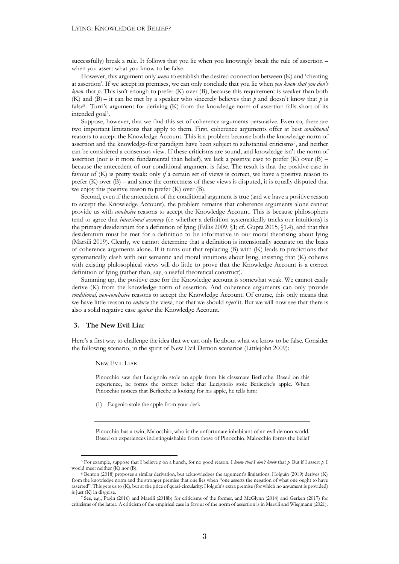successfully) break a rule. It follows that you lie when you knowingly break the rule of assertion – when you assert what you know to be false.

However, this argument only *seems* to establish the desired connection between (K) and 'cheating at assertion'. If we accept its premises, we can only conclude that you lie when *you know that you don't know* that *p*. This isn't enough to prefer (K) over (B), because this requirement is weaker than both (K) and (B) – it can be met by a speaker who sincerely believes that  $p$  and doesn't know that  $p$  is false<sup>5</sup>. Turri's argument for deriving (K) from the knowledge-norm of assertion falls short of its intended goal<sup>6</sup>.

Suppose, however, that we find this set of coherence arguments persuasive. Even so, there are two important limitations that apply to them. First, coherence arguments offer at best *conditional* reasons to accept the Knowledge Account. This is a problem because both the knowledge-norm of assertion and the knowledge-first paradigm have been subject to substantial criticisms7, and neither can be considered a consensus view. If these criticisms are sound, and knowledge isn't the norm of assertion (nor is it more fundamental than belief), we lack a positive case to prefer  $(K)$  over  $(B)$  – because the antecedent of our conditional argument is false. The result is that the positive case in favour of (K) is pretty weak: only *if* a certain set of views is correct, we have a positive reason to prefer  $(K)$  over  $(B)$  – and since the correctness of these views is disputed, it is equally disputed that we enjoy this positive reason to prefer  $(K)$  over  $(B)$ .

Second, even if the antecedent of the conditional argument is true (and we have a positive reason to accept the Knowledge Account), the problem remains that coherence arguments alone cannot provide us with *conclusive* reasons to accept the Knowledge Account. This is because philosophers tend to agree that *intensional accuracy* (*i.e.* whether a definition systematically tracks our intuitions) is the primary desideratum for a definition of lying (Fallis 2009, §1; cf. Gupta 2015, §1.4), and that this desideratum must be met for a definition to be informative in our moral theorising about lying (Marsili 2019). Clearly, we cannot determine that a definition is intensionally accurate on the basis of coherence arguments alone. If it turns out that replacing (B) with (K) leads to predictions that systematically clash with our semantic and moral intuitions about lying, insisting that (K) coheres with existing philosophical views will do little to prove that the Knowledge Account is a correct definition of lying (rather than, say, a useful theoretical construct).

Summing up, the positive case for the Knowledge account is somewhat weak. We cannot easily derive (K) from the knowledge-norm of assertion. And coherence arguments can only provide *conditional, non-conclusive* reasons to accept the Knowledge Account. Of course, this only means that we have little reason to *endorse* the view, not that we should *reject* it. But we will now see that there is also a solid negative case *against* the Knowledge Account.

### **3. The New Evil Liar**

Here's a first way to challenge the idea that we can only lie about what we know to be false. Consider the following scenario, in the spirit of New Evil Demon scenarios (Littlejohn 2009):

#### NEW EVIL LIAR

-

Pinocchio saw that Lucignolo stole an apple from his classmate Berlicche. Based on this experience, he forms the correct belief that Lucignolo stole Berlicche's apple. When Pinocchio notices that Berlicche is looking for his apple, he tells him:

(1) Eugenio stole the apple from your desk

Pinocchio has a twin, Malocchio, who is the unfortunate inhabitant of an evil demon world. Based on experiences indistinguishable from those of Pinocchio, Malocchio forms the belief

<sup>5</sup> For example, suppose that I believe *p* on a hunch, for no good reason. I *know that I don't know* that *p.* But if I assert *p,* I would meet neither (K) nor (B).

<sup>6</sup> Benton (2018) proposes a similar derivation, but acknowledges the argument's limitations. Holguín (2019) derives (K) from the knowledge norm and the stronger premise that one lies when "one asserts the negation of what one ought to have asserted". This gets us to (K), but at the price of quasi-circularity: Holguín's extra premise (for which no argument is provided) is just (K) in disguise.

<sup>7</sup> See, e.g., Pagin (2016) and Marsili (2018b) for criticisms of the former, and McGlynn (2014) and Gerken (2017) for criticisms of the latter. A criticism of the empirical case in favour of the norm of assertion is in Marsili and Wiegmann (2021).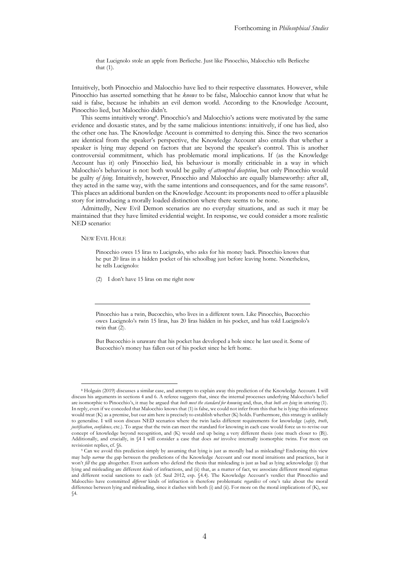that Lucignolo stole an apple from Berlicche. Just like Pinocchio, Malocchio tells Berlicche that (1).

Intuitively, both Pinocchio and Malocchio have lied to their respective classmates. However, while Pinocchio has asserted something that he *knows* to be false, Malocchio cannot know that what he said is false, because he inhabits an evil demon world. According to the Knowledge Account, Pinocchio lied, but Malocchio didn't.

This seems intuitively wrong8. Pinocchio's and Malocchio's actions were motivated by the same evidence and doxastic states, and by the same malicious intentions: intuitively, if one has lied, also the other one has. The Knowledge Account is committed to denying this. Since the two scenarios are identical from the speaker's perspective, the Knowledge Account also entails that whether a speaker is lying may depend on factors that are beyond the speaker's control. This is another controversial commitment, which has problematic moral implications. If (as the Knowledge Account has it) only Pinocchio lied, his behaviour is morally criticisable in a way in which Malocchio's behaviour is not: both would be guilty *of attempted deception*, but only Pinocchio would be guilty *of lying*. Intuitively, however, Pinocchio and Malocchio are equally blameworthy: after all, they acted in the same way, with the same intentions and consequences, and for the same reasons<sup>9</sup>. This places an additional burden on the Knowledge Account: its proponents need to offer a plausible story for introducing a morally loaded distinction where there seems to be none.

Admittedly, New Evil Demon scenarios are no everyday situations, and as such it may be maintained that they have limited evidential weight. In response, we could consider a more realistic NED scenario:

NEW EVIL HOLE

-

Pinocchio owes 15 liras to Lucignolo, who asks for his money back. Pinocchio knows that he put 20 liras in a hidden pocket of his schoolbag just before leaving home. Nonetheless, he tells Lucignolo:

(2) I don't have 15 liras on me right now

Pinocchio has a twin, Bucocchio, who lives in a different town. Like Pinocchio, Bucocchio owes Lucignolo's twin 15 liras, has 20 liras hidden in his pocket, and has told Lucignolo's twin that (2).

But Bucocchio is unaware that his pocket has developed a hole since he last used it. Some of Bucocchio's money has fallen out of his pocket since he left home.

<sup>8</sup> Holguín (2019) discusses a similar case, and attempts to explain away this prediction of the Knowledge Account. I will discuss his arguments in sections 4 and 6. A referee suggests that, since the internal processes underlying Malocchio's belief are isomorphic to Pinocchio's, it may be argued that *both meet the standard for knowing* and, thus, that *both are lying* in uttering (1). In reply, even if we conceded that Malocchio knows that (1) is false, we could not infer from this that he is lying: this inference would treat (K) as a premise, but our aim here is precisely to establish whether (K) holds. Furthermore, this strategy is unlikely to generalise. I will soon discuss NED scenarios where the twin lacks different requirements for knowledge (*safety*, *truth*, *justification*, *confidence,* etc.). To argue that the twin can meet the standard for knowing in each case would force us to revise our concept of knowledge beyond recognition, and (K) would end up being a very different thesis (one much closer to (B)). Additionally, and crucially, in §4 I will consider a case that does *not* involve internally isomorphic twins. For more on revisionist replies, cf. §6.

<sup>9</sup> Can we avoid this prediction simply by assuming that lying is just as morally bad as misleading? Endorsing this view may help *narrow* the gap between the predictions of the Knowledge Account and our moral intuitions and practices, but it won't *fill* the gap altogether. Even authors who defend the thesis that misleading is just as bad as lying acknowledge (i) that lying and misleading are different *kinds* of infractions, and (ii) that, as a matter of fact, we associate different moral stigmas and different social sanctions to each (cf. Saul 2012, esp. §4.4). The Knowledge Account's verdict that Pinocchio and Malocchio have committed *different* kinds of infraction is therefore problematic *regardless* of one's take about the moral difference between lying and misleading, since it clashes with both (i) and (ii). For more on the moral implications of (K), see §4.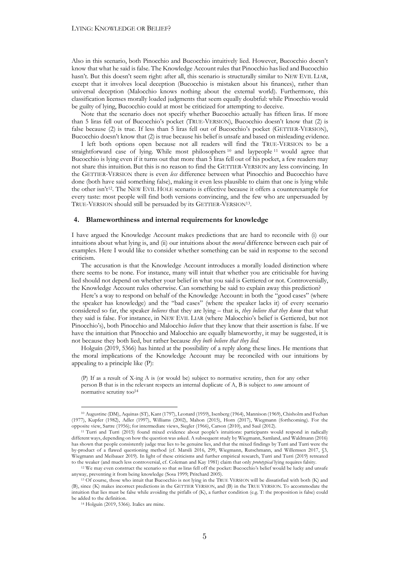Also in this scenario, both Pinocchio and Bucocchio intuitively lied. However, Bucocchio doesn't know that what he said is false. The Knowledge Account rules that Pinocchio has lied and Bucocchio hasn't. But this doesn't seem right: after all, this scenario is structurally similar to NEW EVIL LIAR, except that it involves local deception (Bucocchio is mistaken about his finances), rather than universal deception (Malocchio knows nothing about the external world). Furthermore, this classification licenses morally loaded judgments that seem equally doubtful: while Pinocchio would be guilty of lying, Bucocchio could at most be criticized for attempting to deceive.

Note that the scenario does not specify whether Bucocchio actually has fifteen liras. If more than 5 liras fell out of Bucocchio's pocket (TRUE-VERSION), Bucocchio doesn't know that (2) is false because (2) is true. If less than 5 liras fell out of Bucocchio's pocket (GETTIER-VERSION), Bucocchio doesn't know that (2) is true because his belief is unsafe and based on misleading evidence.

I left both options open because not all readers will find the TRUE-VERSION to be a straightforward case of lying. While most philosophers  $10$  and laypeople  $11$  would agree that Bucocchio is lying even if it turns out that more than 5 liras fell out of his pocket, a few readers may not share this intuition. But this is no reason to find the GETTIER-VERSION any less convincing. In the GETTIER-VERSION there is even *less* difference between what Pinocchio and Bucocchio have done (both have said something false), making it even less plausible to claim that one is lying while the other isn't<sup>12</sup>. The NEW EVIL HOLE scenario is effective because it offers a counterexample for every taste: most people will find both versions convincing, and the few who are unpersuaded by TRUE-VERSION should still be persuaded by its GETTIER-VERSION13.

#### **4. Blameworthiness and internal requirements for knowledge**

I have argued the Knowledge Account makes predictions that are hard to reconcile with (i) our intuitions about what lying is, and (ii) our intuitions about the *moral* difference between each pair of examples. Here I would like to consider whether something can be said in response to the second criticism.

The accusation is that the Knowledge Account introduces a morally loaded distinction where there seems to be none. For instance, many will intuit that whether you are criticisable for having lied should not depend on whether your belief in what you said is Gettiered or not. Controversially, the Knowledge Account rules otherwise. Can something be said to explain away this prediction?

Here's a way to respond on behalf of the Knowledge Account: in both the "good cases" (where the speaker has knowledge) and the "bad cases" (where the speaker lacks it) of every scenario considered so far, the speaker *believes* that they are lying – that is, *they believe that they know* that what they said is false. For instance, in NEW EVIL LIAR (where Malocchio's belief is Gettiered, but not Pinocchio's), both Pinocchio and Malocchio *believe* that they know that their assertion is false. If we have the intuition that Pinocchio and Malocchio are equally blameworthy, it may be suggested, it is not because they both lied, but rather because *they both believe that they lied.*

Holguín (2019, 5366) has hinted at the possibility of a reply along these lines. He mentions that the moral implications of the Knowledge Account may be reconciled with our intuitions by appealing to a principle like (P):

(P) If as a result of X-ing A is (or would be) subject to normative scrutiny, then for any other person B that is in the relevant respects an internal duplicate of A, B is subject to *some* amount of normative scrutiny too<sup>14</sup>

-

<sup>10</sup> Augustine (DM), Aquinas (ST), Kant (1797), Leonard (1959), Isenberg (1964), Mannison (1969), Chisholm and Feehan (1977), Kupfer (1982), Adler (1997), Williams (2002), Mahon (2015), Horn (2017), Wiegmann (forthcoming). For the opposite view, Sartre (1956); for intermediate views, Siegler (1966), Carson (2010), and Saul (2012).

<sup>11</sup> Turri and Turri (2015) found mixed evidence about people's intuitions: participants would respond in radically different ways, depending on how the question was asked. A subsequent study by Wiegmann, Samland, and Waldmann (2016) has shown that people consistently judge true lies to be genuine lies, and that the mixed findings by Turri and Turri were the by-product of a flawed questioning method (cf. Marsili 2016, 299, Wiegmann, Rutschmann, and Willemsen 2017, §3, Wiegmann and Meibauer 2019). In light of these criticisms and further empirical research, Turri and Turri (2019) retreated to the weaker (and much less controversial, cf. Coleman and Kay 1981) claim that only *prototypical* 

<sup>&</sup>lt;sup>12</sup> We may even construct the scenario so that no liras fell off the pocket: Bucocchio's belief would be lucky and unsafe anyway, preventing it from being knowledge (Sosa 1999; Pritchard 2005).

<sup>13</sup> Of course, those who intuit that Bucocchio is not lying in the TRUE VERSION will be dissatisfied with both (K) and (B), since (K) makes incorrect predictions in the GETTIER VERSION, and (B) in the TRUE VERSION. To accommodate the intuition that lies must be false while avoiding the pitfalls of (K), a further condition (e.g. T: the proposition is false) could

 $14$  Holguín (2019, 5366). Italics are mine.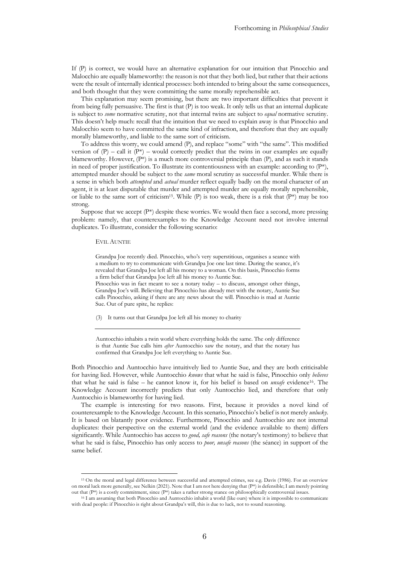If (P) is correct, we would have an alternative explanation for our intuition that Pinocchio and Malocchio are equally blameworthy: the reason is not that they both lied, but rather that their actions were the result of internally identical processes: both intended to bring about the same consequences, and both thought that they were committing the same morally reprehensible act.

This explanation may seem promising, but there are two important difficulties that prevent it from being fully persuasive. The first is that (P) is too weak. It only tells us that an internal duplicate is subject to *some* normative scrutiny, not that internal twins are subject to *equal* normative scrutiny. This doesn't help much: recall that the intuition that we need to explain away is that Pinocchio and Malocchio seem to have committed the same kind of infraction, and therefore that they are equally morally blameworthy, and liable to the same sort of criticism.

To address this worry, we could amend (P), and replace "some" with "the same". This modified version of  $(P)$  – call it  $(P^*)$  – would correctly predict that the twins in our examples are equally blameworthy. However,  $(P^*)$  is a much more controversial principle than  $(P)$ , and as such it stands in need of proper justification. To illustrate its contentiousness with an example: according to  $(P^*)$ , attempted murder should be subject to the *same* moral scrutiny as successful murder. While there is a sense in which both *attempted* and *actual* murder reflect equally badly on the moral character of an agent, it is at least disputable that murder and attempted murder are equally morally reprehensible, or liable to the same sort of criticism<sup>15</sup>. While (P) is too weak, there is a risk that (P\*) may be too strong.

Suppose that we accept  $(P^*)$  despite these worries. We would then face a second, more pressing problem: namely, that counterexamples to the Knowledge Account need not involve internal duplicates. To illustrate, consider the following scenario:

#### EVIL AUNTIE

-

Grandpa Joe recently died. Pinocchio, who's very superstitious, organises a seance with a medium to try to communicate with Grandpa Joe one last time. During the seance, it's revealed that Grandpa Joe left all his money to a woman. On this basis, Pinocchio forms a firm belief that Grandpa Joe left all his money to Auntie Sue.

Pinocchio was in fact meant to see a notary today – to discuss, amongst other things, Grandpa Joe's will. Believing that Pinocchio has already met with the notary, Auntie Sue calls Pinocchio, asking if there are any news about the will. Pinocchio is mad at Auntie Sue. Out of pure spite, he replies:

(3) It turns out that Grandpa Joe left all his money to charity

Auntocchio inhabits a twin world where everything holds the same. The only difference is that Auntie Sue calls him *after* Auntocchio saw the notary, and that the notary has confirmed that Grandpa Joe left everything to Auntie Sue.

Both Pinocchio and Auntocchio have intuitively lied to Auntie Sue, and they are both criticisable for having lied. However, while Auntocchio *knows* that what he said is false, Pinocchio only *believes* that what he said is false – he cannot know it, for his belief is based on *unsafe* evidence16. The Knowledge Account incorrectly predicts that only Auntocchio lied, and therefore that only Auntocchio is blameworthy for having lied.

The example is interesting for two reasons. First, because it provides a novel kind of counterexample to the Knowledge Account. In this scenario, Pinocchio's belief is not merely *unlucky*. It is based on blatantly poor evidence. Furthermore, Pinocchio and Auntocchio are not internal duplicates: their perspective on the external world (and the evidence available to them) differs significantly. While Auntocchio has access to *good, safe reasons* (the notary's testimony) to believe that what he said is false, Pinocchio has only access to *poor, unsafe reasons* (the séance) in support of the same belief.

<sup>15</sup> On the moral and legal difference between successful and attempted crimes, see e.g. Davis (1986). For an overview on moral luck more generally, see Nelkin (2021). Note that I am not here denying that (P\*) is defensible; I am merely pointing out that  $(P^*)$  is a costly commitment, since  $(P^*)$  takes a rather strong stance on philosophically controversial issues.

<sup>16</sup> I am assuming that both Pinocchio and Auntocchio inhabit a world (like ours) where it is impossible to communicate with dead people: if Pinocchio is right about Grandpa's will, this is due to luck, not to sound reasoning.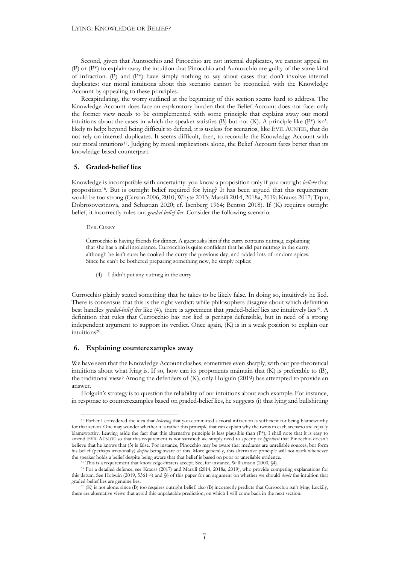Second, given that Auntocchio and Pinocchio are not internal duplicates, we cannot appeal to (P) or  $(P^*)$  to explain away the intuition that Pinocchio and Auntocchio are guilty of the same kind of infraction. (P) and (P\*) have simply nothing to say about cases that don't involve internal duplicates: our moral intuitions about this scenario cannot be reconciled with the Knowledge Account by appealing to these principles.

Recapitulating, the worry outlined at the beginning of this section seems hard to address. The Knowledge Account does face an explanatory burden that the Belief Account does not face: only the former view needs to be complemented with some principle that explains away our moral intuitions about the cases in which the speaker satisfies (B) but not (K). A principle like  $(P^*)$  isn't likely to help: beyond being difficult to defend, it is useless for scenarios, like EVIL AUNTIE, that do not rely on internal duplicates. It seems difficult, then, to reconcile the Knowledge Account with our moral intuitions17. Judging by moral implications alone, the Belief Account fares better than its knowledge-based counterpart.

#### **5. Graded-belief lies**

Knowledge is incompatible with uncertainty: you know a proposition only if you outright *believe* that proposition18. But is outright belief required for lying? It has been argued that this requirement would be too strong (Carson 2006, 2010; Whyte 2013; Marsili 2014, 2018a, 2019; Krauss 2017; Trpin, Dobrosovestnova, and Sebastian 2020; cf. Isenberg 1964; Benton 2018). If (K) requires outright belief, it incorrectly rules out *graded-belief lies*. Consider the following scenario:

EVIL CURRY

-

Currocchio is having friends for dinner. A guest asks him if the curry contains nutmeg, explaining that she has a mild intolerance. Currocchio is quite confident that he did put nutmeg in the curry, although he isn't sure: he cooked the curry the previous day, and added lots of random spices. Since he can't be bothered preparing something new, he simply replies:

(4) I didn't put any nutmeg in the curry

Currocchio plainly stated something that he takes to be likely false. In doing so, intuitively he lied. There is consensus that this is the right verdict: while philosophers disagree about which definition best handles *graded-belief lies* like (4)*,* there is agreement that graded-belief lies are intuitively lies19. A definition that rules that Currocchio has not lied is perhaps defensible, but in need of a strong independent argument to support its verdict. Once again, (K) is in a weak position to explain our intuitions20.

## **6. Explaining counterexamples away**

We have seen that the Knowledge Account clashes, sometimes even sharply, with our pre-theoretical intuitions about what lying is. If so, how can its proponents maintain that (K) is preferable to (B), the traditional view? Among the defenders of (K), only Holguín (2019) has attempted to provide an answer.

Holguín's strategy is to question the reliability of our intuitions about each example. For instance, in response to counterexamples based on graded-belief lies, he suggests (i) that lying and bullshitting

<sup>17</sup> Earlier I considered the idea that *believing* that you committed a moral infraction is sufficient for being blameworthy for that action. One may wonder whether it is rather this principle that can explain why the twins in each scenario are equally blameworthy. Leaving aside the fact that this alternative principle is less plausible than (P\*), I shall note that it is easy to amend EVIL AUNTIE so that this requirement is not satisfied: we simply need to specify *ex hypothesi* that Pinocchio doesn't believe that he knows that (3) is false. For instance, Pinocchio may be aware that mediums are unreliable sources, but form his belief (perhaps irrationally) *despite* being aware of this. More generally, this alternative principle will not work whenever the speaker holds a belief despite being aware that that belief is based on poor or unrelia

<sup>&</sup>lt;sup>18</sup> This is a requirement that knowledge-firsters accept. See, for instance, Williamson (2000, §4).<br><sup>19</sup> For a detailed defence, see Krauss (2017) and Marsili (2014, 2018a, 2019), who provide competing explanations for this datum. See Holguín (2019, 5361-4) and §6 of this paper for an argument on whether we should *doubt* the intuition that graded-belief lies are genuine lies.

<sup>20</sup> (K) is not alone: since (B) too requires outright belief, also (B) incorrectly predicts that Currocchio isn't lying. Luckily, there are alternative views that avoid this unpalatable prediction, on which I will come back in the next section.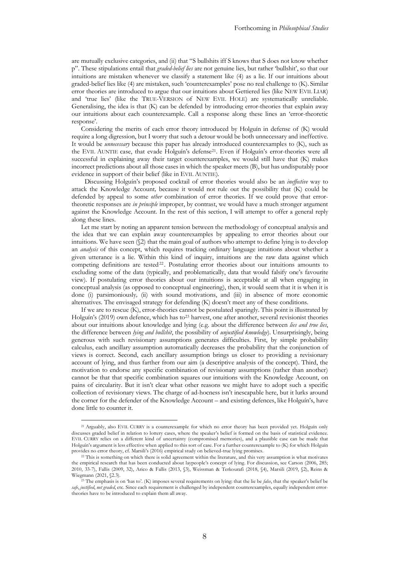are mutually exclusive categories, and (ii) that "S bullshits iff S knows that S does not know whether p". These stipulations entail that *graded-belief lies* are not genuine lies, but rather 'bullshit', so that our intuitions are mistaken whenever we classify a statement like (4) as a lie. If our intuitions about graded-belief lies like (4) are mistaken, such 'counterexamples' pose no real challenge to (K). Similar error theories are introduced to argue that our intuitions about Gettiered lies (like NEW EVIL LIAR) and 'true lies' (like the TRUE-VERSION of NEW EVIL HOLE) are systematically unreliable. Generalising, the idea is that (K) can be defended by introducing error-theories that explain away our intuitions about each counterexample. Call a response along these lines an 'error-theoretic response'.

Considering the merits of each error theory introduced by Holguín in defense of (K) would require a long digression, but I worry that such a detour would be both unnecessary and ineffective. It would be *unnecessary* because this paper has already introduced counterexamples to (K), such as the EVIL AUNTIE case, that evade Holguín's defense<sup>21</sup>. Even if Holguín's error-theories were all successful in explaining away their target counterexamples, we would still have that (K) makes incorrect predictions about all those cases in which the speaker meets (B), but has undisputably poor evidence in support of their belief (like in EVIL AUNTIE)*.*

Discussing Holguín's proposed cocktail of error theories would also be an *ineffective* way to attack the Knowledge Account*,* because it would not rule out the possibility that (K) could be defended by appeal to some *other* combination of error theories. If we could prove that errortheoretic responses are *in principle* improper, by contrast, we would have a much stronger argument against the Knowledge Account. In the rest of this section, I will attempt to offer a general reply along these lines.

Let me start by noting an apparent tension between the methodology of conceptual analysis and the idea that we can explain away counterexamples by appealing to error theories about our intuitions. We have seen  $(\mathcal{S}2)$  that the main goal of authors who attempt to define lying is to develop an *analysis* of this concept, which requires tracking ordinary language intuitions about whether a given utterance is a lie. Within this kind of inquiry, intuitions are the raw data against which competing definitions are tested<sup>22</sup>. Postulating error theories about our intuitions amounts to excluding some of the data (typically, and problematically, data that would falsify one's favourite view). If postulating error theories about our intuitions is acceptable at all when engaging in conceptual analysis (as opposed to conceptual engineering), then, it would seem that it is when it is done (i) parsimoniously*,* (ii) with sound motivations, and (iii) in absence of more economic alternatives. The envisaged strategy for defending (K) doesn't meet any of these conditions.

If we are to rescue (K), error-theories cannot be postulated sparingly. This point is illustrated by Holguín's (2019) own defence, which has to<sup>23</sup> harvest, one after another, several revisionist theories about our intuitions about knowledge and lying (e.g. about the difference between *lies and true lies*, the difference between *lying and bullshit*, the possibility of *unjustified knowledge*). Unsurprisingly, being generous with such revisionary assumptions generates difficulties. First, by simple probability calculus, each ancillary assumption automatically decreases the probability that the conjunction of views is correct. Second, each ancillary assumption brings us closer to providing a revisionary account of lying, and thus farther from our aim (a descriptive analysis of the concept). Third, the motivation to endorse any specific combination of revisionary assumptions (rather than another) cannot be that that specific combination squares our intuitions with the Knowledge Account, on pains of circularity. But it isn't clear what other reasons we might have to adopt such a specific collection of revisionary views. The charge of ad-hocness isn't inescapable here, but it lurks around the corner for the defender of the Knowledge Account – and existing defences, like Holguín's, have done little to counter it.

-

<sup>21</sup> Arguably, also EVIL CURRY is a counterexample for which no error theory has been provided yet. Holguín only discusses graded belief in relation to lottery cases, where the speaker's belief is formed on the basis of statistical evidence. EVIL CURRY relies on a different kind of uncertainty (compromised memories), and a plausible case can be made that Holguín's argument is less effective when applied to this sort of case. For a further counterexample to (K) for which Holguín provides no error theory, cf. Marsili's (2016) empirical study on believed-true lying promises.

<sup>&</sup>lt;sup>22</sup> This is something on which there is solid agreement within the literature, and this very assumption is what motivates the empirical research that has been conducted about laypeople's concept of lying. For discussion, see Carson (2006, 285; 2010, 33-7), Fallis (2009, 32), Arico & Fallis (2013, §3), Weissman & Terkourafi (2018, §4), Marsili (2019, §2), Reins & Wiegmann (2021, §2.3).

<sup>23</sup> The emphasis is on 'has to'*.* (K) imposes several requirements on lying: that the lie be *false*, that the speaker's belief be *safe*, *justified*, *not graded*, etc. Since each requirement is challenged by independent counterexamples, equally independent errortheories have to be introduced to explain them all away.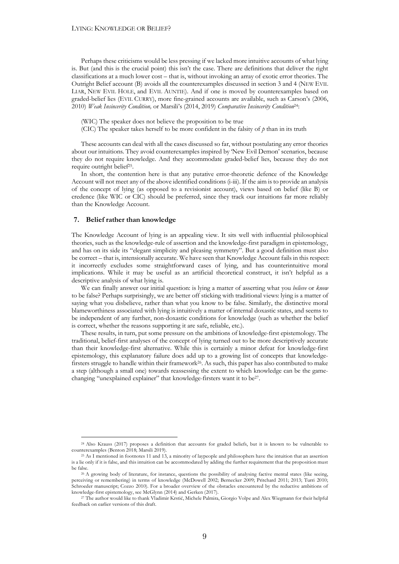Perhaps these criticisms would be less pressing if we lacked more intuitive accounts of what lying is. But (and this is the crucial point) this isn't the case. There are definitions that deliver the right classifications at a much lower cost – that is, without invoking an array of exotic error theories. The Outright Belief account (B) avoids all the counterexamples discussed in section 3 and 4 (NEW EVIL LIAR, NEW EVIL HOLE, and EVIL AUNTIE). And if one is moved by counterexamples based on graded-belief lies (EVIL CURRY), more fine-grained accounts are available, such as Carson's (2006, 2010) *Weak Insincerity Condition,* or Marsili's (2014, 2019) *Comparative Insincerity Condition*24:

(WIC) The speaker does not believe the proposition to be true

(CIC) The speaker takes herself to be more confident in the falsity of *p* than in its truth

These accounts can deal with all the cases discussed so far, without postulating any error theories about our intuitions. They avoid counterexamples inspired by 'New Evil Demon' scenarios, because they do not require knowledge. And they accommodate graded-belief lies, because they do not require outright belief25.

In short, the contention here is that any putative error-theoretic defence of the Knowledge Account will not meet any of the above identified conditions (i-iii). If the aim is to provide an analysis of the concept of lying (as opposed to a revisionist account), views based on belief (like B) or credence (like WIC or CIC) should be preferred, since they track our intuitions far more reliably than the Knowledge Account.

#### **7. Belief rather than knowledge**

-

The Knowledge Account of lying is an appealing view. It sits well with influential philosophical theories, such as the knowledge-rule of assertion and the knowledge-first paradigm in epistemology, and has on its side its "elegant simplicity and pleasing symmetry". But a good definition must also be correct – that is, intensionally accurate. We have seen that Knowledge Account fails in this respect: it incorrectly excludes some straightforward cases of lying, and has counterintuitive moral implications. While it may be useful as an artificial theoretical construct, it isn't helpful as a descriptive analysis of what lying is.

We can finally answer our initial question: is lying a matter of asserting what you *believe* or *know*  to be false? Perhaps surprisingly, we are better off sticking with traditional views: lying is a matter of saying what you disbelieve, rather than what you know to be false. Similarly, the distinctive moral blameworthiness associated with lying is intuitively a matter of internal doxastic states, and seems to be independent of any further, non-doxastic conditions for knowledge (such as whether the belief is correct, whether the reasons supporting it are safe, reliable, etc.).

These results, in turn, put some pressure on the ambitions of knowledge-first epistemology. The traditional, belief-first analyses of the concept of lying turned out to be more descriptively accurate than their knowledge-first alternative. While this is certainly a minor defeat for knowledge-first epistemology, this explanatory failure does add up to a growing list of concepts that knowledgefirsters struggle to handle within their framework26. As such, this paper has also contributed to make a step (although a small one) towards reassessing the extent to which knowledge can be the gamechanging "unexplained explainer" that knowledge-firsters want it to be<sup>27</sup>.

<sup>24</sup> Also Krauss (2017) proposes a definition that accounts for graded beliefs, but it is known to be vulnerable to counterexamples (Benton 2018; Marsili 2019).

<sup>25</sup> As I mentioned in footnotes 11 and 13, a minority of laypeople and philosophers have the intuition that an assertion is a lie only if it is false, and this intuition can be accommodated by adding the further requirement that the proposition must be false.

<sup>&</sup>lt;sup>26</sup> A growing body of literature, for instance, questions the possibility of analysing factive mental states (like seeing, perceiving or remembering) in terms of knowledge (McDowell 2002; Bernecker 2009; Pritchard 2011; 2013; Turri 2010; Schroeder manuscript; Cozzo 2010). For a broader overview of the obstacles encountered by the reductive ambitions of knowledge-first epistemology, see McGlynn (2014) and Gerken (2017).

<sup>27</sup> The author would like to thank Vladimir Krstić, Michele Palmira, Giorgio Volpe and Alex Wiegmann for their helpful feedback on earlier versions of this draft.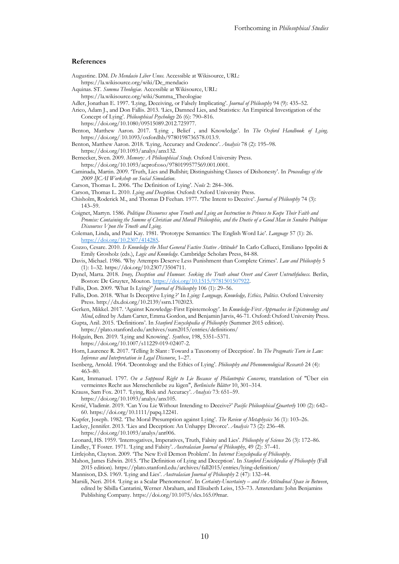#### **References**

- Augustine. DM. *De Mendacio Liber Unus.* Accessible at Wikisource, URL: https://la.wikisource.org/wiki/De\_mendacio
- Aquinas. ST. *Summa Theologiae.* Accessible at Wikisource, URL:
	- https://la.wikisource.org/wiki/Summa\_Theologiae
- Adler, Jonathan E. 1997. 'Lying, Deceiving, or Falsely Implicating'. *Journal of Philosophy* 94 (9): 435–52.
- Arico, Adam J., and Don Fallis. 2013. 'Lies, Damned Lies, and Statistics: An Empirical Investigation of the Concept of Lying'. *Philosophical Psychology* 26 (6): 790–816.
	- https://doi.org/10.1080/09515089.2012.725977.
- Benton, Matthew Aaron. 2017. 'Lying , Belief , and Knowledge'. In *The Oxford Handbook of Lying*. https://doi.org/ 10.1093/oxfordhb/9780198736578.013.9.
- Benton, Matthew Aaron. 2018. 'Lying, Accuracy and Credence'. *Analysis* 78 (2): 195–98. https://doi.org/10.1093/analys/anx132.
- Bernecker, Sven. 2009. *Memory: A Philosophical Study*. Oxford University Press. https://doi.org/10.1093/acprof:oso/9780199577569.001.0001.
- Caminada, Martin. 2009. 'Truth, Lies and Bullshit; Distinguishing Classes of Dishonesty'. In *Proceedings of the 2009 IJCAI Workshop on Social Simulation*.
- Carson, Thomas L. 2006. 'The Definition of Lying'. *Noûs* 2: 284–306.
- Carson, Thomas L. 2010. *Lying and Deception*. Oxford: Oxford University Press.
- Chisholm, Roderick M., and Thomas D Feehan. 1977. 'The Intent to Deceive'. *Journal of Philosophy* 74 (3): 143–59.
- Coignet, Martyn. 1586. *Politique Discourses upon Trueth and Lying an Instruction to Princes to Keepe Their Faith and Promise: Containing the Summe of Christian and Morall Philosophie, and the Duetie of a Good Man in Sundrie Politique Discourses Vpon the Trueth and Lying*.
- Coleman, Linda, and Paul Kay. 1981. 'Prototype Semantics: The English Word Lie'. *Language* 57 (1): 26. https://doi.org/10.2307/414285.
- Cozzo, Cesare. 2010. *Is Knowledge the Most General Factive Stative Attitude?* In Carlo Cellucci, Emiliano Ippoliti & Emily Grosholz (eds.), *Logic and Knowledge*. Cambridge Scholars Press, 84-88.
- Davis, Michael. 1986. 'Why Attempts Deserve Less Punishment than Complete Crimes'. *Law and Philosophy* 5 (1): 1–32. https://doi.org/10.2307/3504711.
- Dynel, Marta. 2018. *Irony, Deception and Humour. Seeking the Truth about Overt and Covert Untruthfulness*. Berlin, Boston: De Gruyter, Mouton. https://doi.org/10.1515/9781501507922.
- Fallis, Don. 2009. 'What Is Lying?' *Journal of Philosophy* 106 (1): 29–56.
- Fallis, Don. 2018. 'What Is Deceptive Lying ?' In *Lying: Language, Knowledge, Ethics, Politics*. Oxford University Press. http://dx.doi.org/10.2139/ssrn.1702023.
- Gerken, Mikkel. 2017. 'Against Knowledge-First Epistemology'. In *Knowledge-First Approaches in Epistemology and Mind*, edited by Adam Carter, Emma Gordon, and Benjamin Jarvis, 46-71. Oxford: Oxford University Press. Gupta, Anil. 2015. 'Definitions'. In *Stanford Encyclopedia of Philosophy* (Summer 2015 edition).
- https://plato.stanford.edu/archives/sum2015/entries/definitions/
- Holguín, Ben. 2019. 'Lying and Knowing'. *Synthese*, 198, 5351–5371.
- https://doi.org/10.1007/s11229-019-02407-2.
- Horn, Laurence R. 2017. 'Telling It Slant : Toward a Taxonomy of Deception'. In *The Pragmatic Turn in Law: Inference and Interpretation in Legal Discourse*, 1–27.
- Isenberg, Arnold. 1964. 'Deontology and the Ethics of Lying'. *Philosophy and Phenomenological Research* 24 (4): 463–80.
- Kant, Immanuel. 1797. *On a Supposed Right to Lie Because of Philantropic Concerns*, translation of "Über ein vermeintes Recht aus Menschenliebe zu lügen", *Berlinische Blätter* 10, 301–314.
- Krauss, Sam Fox. 2017. 'Lying, Risk and Accuracy'. *Analysis* 73: 651–59.
- https://doi.org/10.1093/analys/anx105.
- Krstić, Vladimir. 2019. 'Can You Lie Without Intending to Deceive?' *Pacific Philosophical Quarterly* 100 (2): 642– 60. https://doi.org/10.1111/papq.12241.
- Kupfer, Joseph. 1982. 'The Moral Presumption against Lying'. *The Review of Metaphysics* 36 (1): 103–26.
- Lackey, Jennifer. 2013. 'Lies and Deception: An Unhappy Divorce'. *Analysis* 73 (2): 236–48. https://doi.org/10.1093/analys/ant006.
- Leonard, HS. 1959. 'Interrogatives, Imperatives, Truth, Falsity and Lies'. *Philosophy of Science* 26 (3): 172–86.
- Lindley, T Foster. 1971. 'Lying and Falsity'. *Australasian Journal of Philosophy*, 49 (2): 37–41.
- Littlejohn, Clayton. 2009. 'The New Evil Demon Problem'. In *Internet Encyclopedia of Philosophy*.
- Mahon, James Edwin. 2015. 'The Definition of Lying and Deception'. In *Stanford Enciclopedia of Philosophy* (Fall 2015 edition). https://plato.stanford.edu/archives/fall2015/entries/lying-definition/
- Mannison, D.S. 1969. 'Lying and Lies'. *Australasian Journal of Philosophy* 2 (47): 132–44.
- Marsili, Neri. 2014. 'Lying as a Scalar Phenomenon'. In *Certainty-Uncertainty – and the Attitudinal Space in Between*, edited by Sibilla Cantarini, Werner Abraham, and Elisabeth Leiss, 153–73. Amsterdam: John Benjamins Publishing Company. https://doi.org/10.1075/slcs.165.09mar.